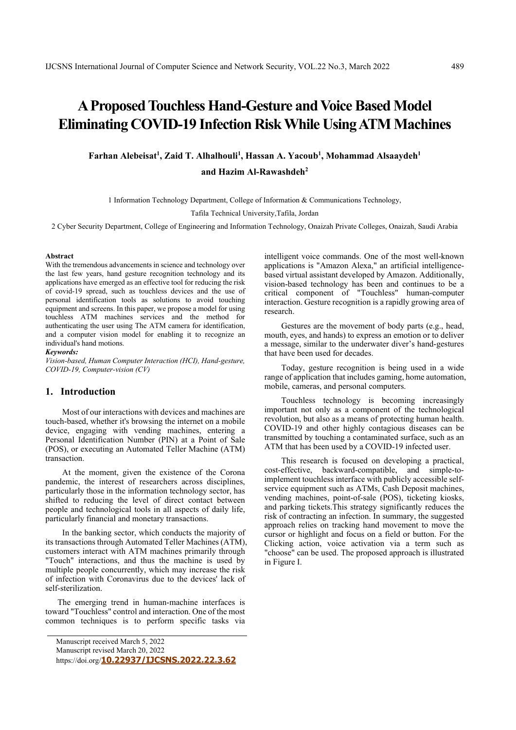# **A Proposed Touchless Hand-Gesture and Voice Based Model Eliminating COVID-19 Infection Risk While Using ATM Machines**

Farhan Alebeisat<sup>1</sup>, Zaid T. Alhalhouli<sup>1</sup>, Hassan A. Yacoub<sup>1</sup>, Mohammad Alsaaydeh<sup>1</sup> **and Hazim Al-Rawashdeh2**

1 Information Technology Department, College of Information & Communications Technology,

Tafila Technical University,Tafila, Jordan

2 Cyber Security Department, College of Engineering and Information Technology, Onaizah Private Colleges, Onaizah, Saudi Arabia

#### **Abstract**

With the tremendous advancements in science and technology over the last few years, hand gesture recognition technology and its applications have emerged as an effective tool for reducing the risk of covid-19 spread, such as touchless devices and the use of personal identification tools as solutions to avoid touching equipment and screens. In this paper, we propose a model for using touchless ATM machines services and the method for authenticating the user using The ATM camera for identification, and a computer vision model for enabling it to recognize an individual's hand motions.

#### *Keywords:*

*Vision-based, Human Computer Interaction (HCI), Hand-gesture, COVID-19, Computer-vision (CV)* 

# **1. Introduction**

Most of our interactions with devices and machines are touch-based, whether it's browsing the internet on a mobile device, engaging with vending machines, entering a Personal Identification Number (PIN) at a Point of Sale (POS), or executing an Automated Teller Machine (ATM) transaction.

At the moment, given the existence of the Corona pandemic, the interest of researchers across disciplines, particularly those in the information technology sector, has shifted to reducing the level of direct contact between people and technological tools in all aspects of daily life, particularly financial and monetary transactions.

In the banking sector, which conducts the majority of its transactions through Automated Teller Machines (ATM), customers interact with ATM machines primarily through "Touch" interactions, and thus the machine is used by multiple people concurrently, which may increase the risk of infection with Coronavirus due to the devices' lack of self-sterilization.

The emerging trend in human-machine interfaces is toward "Touchless" control and interaction. One of the most common techniques is to perform specific tasks via

https://doi.org/**10.22937/IJCSNS.2022.22.3.62**

intelligent voice commands. One of the most well-known applications is "Amazon Alexa," an artificial intelligencebased virtual assistant developed by Amazon. Additionally, vision-based technology has been and continues to be a critical component of "Touchless" human-computer interaction. Gesture recognition is a rapidly growing area of research.

Gestures are the movement of body parts (e.g., head, mouth, eyes, and hands) to express an emotion or to deliver a message, similar to the underwater diver's hand-gestures that have been used for decades.

Today, gesture recognition is being used in a wide range of application that includes gaming, home automation, mobile, cameras, and personal computers.

Touchless technology is becoming increasingly important not only as a component of the technological revolution, but also as a means of protecting human health. COVID-19 and other highly contagious diseases can be transmitted by touching a contaminated surface, such as an ATM that has been used by a COVID-19 infected user.

This research is focused on developing a practical, cost-effective, backward-compatible, and simple-toimplement touchless interface with publicly accessible selfservice equipment such as ATMs, Cash Deposit machines, vending machines, point-of-sale (POS), ticketing kiosks, and parking tickets.This strategy significantly reduces the risk of contracting an infection. In summary, the suggested approach relies on tracking hand movement to move the cursor or highlight and focus on a field or button. For the Clicking action, voice activation via a term such as "choose" can be used. The proposed approach is illustrated in Figure I.

Manuscript received March 5, 2022

Manuscript revised March 20, 2022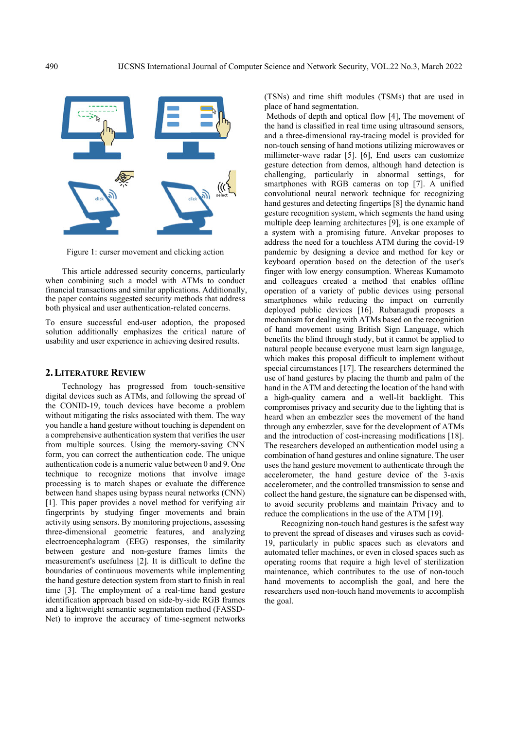

Figure 1: curser movement and clicking action

This article addressed security concerns, particularly when combining such a model with ATMs to conduct financial transactions and similar applications. Additionally, the paper contains suggested security methods that address both physical and user authentication-related concerns.

To ensure successful end-user adoption, the proposed solution additionally emphasizes the critical nature of usability and user experience in achieving desired results.

## **2.LITERATURE REVIEW**

Technology has progressed from touch-sensitive digital devices such as ATMs, and following the spread of the CONID-19, touch devices have become a problem without mitigating the risks associated with them. The way you handle a hand gesture without touching is dependent on a comprehensive authentication system that verifies the user from multiple sources. Using the memory-saving CNN form, you can correct the authentication code. The unique authentication code is a numeric value between 0 and 9. One technique to recognize motions that involve image processing is to match shapes or evaluate the difference between hand shapes using bypass neural networks (CNN) [1]. This paper provides a novel method for verifying air fingerprints by studying finger movements and brain activity using sensors. By monitoring projections, assessing three-dimensional geometric features, and analyzing electroencephalogram (EEG) responses, the similarity between gesture and non-gesture frames limits the measurement's usefulness [2]. It is difficult to define the boundaries of continuous movements while implementing the hand gesture detection system from start to finish in real time [3]. The employment of a real-time hand gesture identification approach based on side-by-side RGB frames and a lightweight semantic segmentation method (FASSD-Net) to improve the accuracy of time-segment networks

(TSNs) and time shift modules (TSMs) that are used in place of hand segmentation.

 Methods of depth and optical flow [4], The movement of the hand is classified in real time using ultrasound sensors, and a three-dimensional ray-tracing model is provided for non-touch sensing of hand motions utilizing microwaves or millimeter-wave radar [5]. [6], End users can customize gesture detection from demos, although hand detection is challenging, particularly in abnormal settings, for smartphones with RGB cameras on top [7]. A unified convolutional neural network technique for recognizing hand gestures and detecting fingertips [8] the dynamic hand gesture recognition system, which segments the hand using multiple deep learning architectures [9], is one example of a system with a promising future. Anvekar proposes to address the need for a touchless ATM during the covid-19 pandemic by designing a device and method for key or keyboard operation based on the detection of the user's finger with low energy consumption. Whereas Kumamoto and colleagues created a method that enables offline operation of a variety of public devices using personal smartphones while reducing the impact on currently deployed public devices [16]. Rubanagudi proposes a mechanism for dealing with ATMs based on the recognition of hand movement using British Sign Language, which benefits the blind through study, but it cannot be applied to natural people because everyone must learn sign language, which makes this proposal difficult to implement without special circumstances [17]. The researchers determined the use of hand gestures by placing the thumb and palm of the hand in the ATM and detecting the location of the hand with a high-quality camera and a well-lit backlight. This compromises privacy and security due to the lighting that is heard when an embezzler sees the movement of the hand through any embezzler, save for the development of ATMs and the introduction of cost-increasing modifications [18]. The researchers developed an authentication model using a combination of hand gestures and online signature. The user uses the hand gesture movement to authenticate through the accelerometer, the hand gesture device of the 3-axis accelerometer, and the controlled transmission to sense and collect the hand gesture, the signature can be dispensed with, to avoid security problems and maintain Privacy and to reduce the complications in the use of the ATM [19].

Recognizing non-touch hand gestures is the safest way to prevent the spread of diseases and viruses such as covid-19, particularly in public spaces such as elevators and automated teller machines, or even in closed spaces such as operating rooms that require a high level of sterilization maintenance, which contributes to the use of non-touch hand movements to accomplish the goal, and here the researchers used non-touch hand movements to accomplish the goal.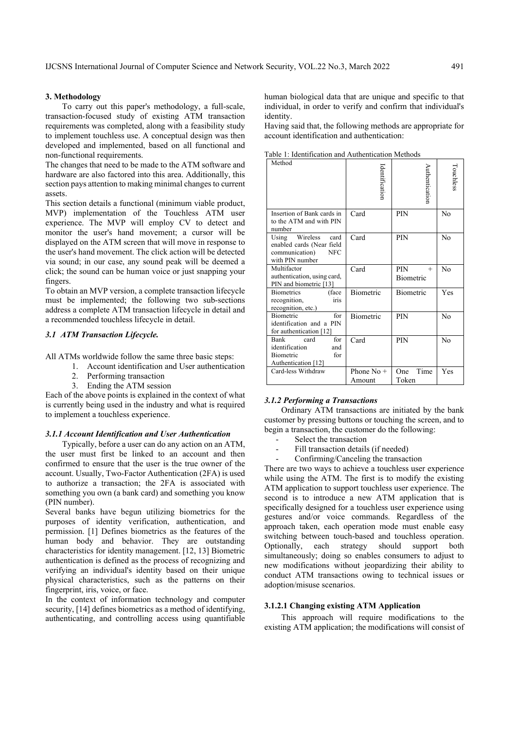### **3. Methodology**

To carry out this paper's methodology, a full-scale, transaction-focused study of existing ATM transaction requirements was completed, along with a feasibility study to implement touchless use. A conceptual design was then developed and implemented, based on all functional and non-functional requirements.

The changes that need to be made to the ATM software and hardware are also factored into this area. Additionally, this section pays attention to making minimal changes to current assets.

This section details a functional (minimum viable product, MVP) implementation of the Touchless ATM user experience. The MVP will employ CV to detect and monitor the user's hand movement; a cursor will be displayed on the ATM screen that will move in response to the user's hand movement. The click action will be detected via sound; in our case, any sound peak will be deemed a click; the sound can be human voice or just snapping your fingers.

To obtain an MVP version, a complete transaction lifecycle must be implemented; the following two sub-sections address a complete ATM transaction lifecycle in detail and a recommended touchless lifecycle in detail.

### *3.1 ATM Transaction Lifecycle.*

All ATMs worldwide follow the same three basic steps:

- 1. Account identification and User authentication
- 2. Performing transaction
- 3. Ending the ATM session

Each of the above points is explained in the context of what is currently being used in the industry and what is required to implement a touchless experience.

### *3.1.1 Account Identification and User Authentication*

Typically, before a user can do any action on an ATM, the user must first be linked to an account and then confirmed to ensure that the user is the true owner of the account. Usually, Two-Factor Authentication (2FA) is used to authorize a transaction; the 2FA is associated with something you own (a bank card) and something you know (PIN number).

Several banks have begun utilizing biometrics for the purposes of identity verification, authentication, and permission. [1] Defines biometrics as the features of the human body and behavior. They are outstanding characteristics for identity management. [12, 13] Biometric authentication is defined as the process of recognizing and verifying an individual's identity based on their unique physical characteristics, such as the patterns on their fingerprint, iris, voice, or face.

In the context of information technology and computer security, [14] defines biometrics as a method of identifying, authenticating, and controlling access using quantifiable human biological data that are unique and specific to that individual, in order to verify and confirm that individual's identity.

Having said that, the following methods are appropriate for account identification and authentication:

| Method                                                                                                    | ldentification         | Authenticatior                    | Touchless      |
|-----------------------------------------------------------------------------------------------------------|------------------------|-----------------------------------|----------------|
| Insertion of Bank cards in<br>to the ATM and with PIN<br>number                                           | Card                   | PIN                               | No             |
| Wireless<br>Using<br>card<br>enabled cards (Near field<br>communication)<br><b>NFC</b><br>with PIN number | Card                   | PIN                               | No             |
| Multifactor<br>authentication, using card,<br>PIN and biometric [13]                                      | Card                   | <b>PIN</b><br>$^{+}$<br>Biometric | No             |
| <b>Biometrics</b><br>(face)<br>recognition,<br>iris<br>recognition, etc.)                                 | Biometric              | Biometric                         | Yes            |
| <b>Biometric</b><br>for<br>identification and a PIN<br>for authentication [12]                            | Biometric              | <b>PIN</b>                        | N <sub>0</sub> |
| for<br>Bank<br>card<br>identification<br>and<br><b>Biometric</b><br>for<br>Authentication [12]            | Card                   | <b>PIN</b>                        | No             |
| Card-less Withdraw                                                                                        | Phone $No +$<br>Amount | Time<br>One<br>Token              | Yes            |

Table 1: Identification and Authentication Methods

### *3.1.2 Performing a Transactions*

Ordinary ATM transactions are initiated by the bank customer by pressing buttons or touching the screen, and to begin a transaction, the customer do the following:

- Select the transaction
- Fill transaction details (if needed)
- Confirming/Canceling the transaction

There are two ways to achieve a touchless user experience while using the ATM. The first is to modify the existing ATM application to support touchless user experience. The second is to introduce a new ATM application that is specifically designed for a touchless user experience using gestures and/or voice commands. Regardless of the approach taken, each operation mode must enable easy switching between touch-based and touchless operation. Optionally, each strategy should support both simultaneously; doing so enables consumers to adjust to new modifications without jeopardizing their ability to conduct ATM transactions owing to technical issues or adoption/misuse scenarios.

# **3.1.2.1 Changing existing ATM Application**

This approach will require modifications to the existing ATM application; the modifications will consist of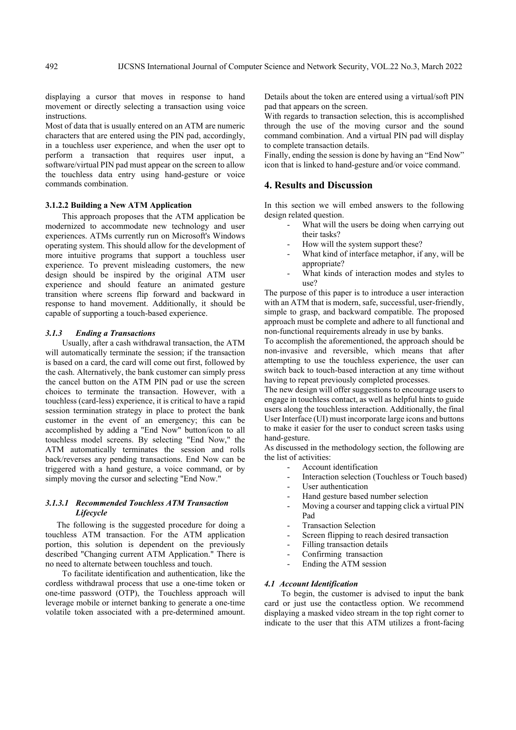displaying a cursor that moves in response to hand movement or directly selecting a transaction using voice instructions.

Most of data that is usually entered on an ATM are numeric characters that are entered using the PIN pad, accordingly, in a touchless user experience, and when the user opt to perform a transaction that requires user input, a software/virtual PIN pad must appear on the screen to allow the touchless data entry using hand-gesture or voice commands combination.

# **3.1.2.2 Building a New ATM Application**

This approach proposes that the ATM application be modernized to accommodate new technology and user experiences. ATMs currently run on Microsoft's Windows operating system. This should allow for the development of more intuitive programs that support a touchless user experience. To prevent misleading customers, the new design should be inspired by the original ATM user experience and should feature an animated gesture transition where screens flip forward and backward in response to hand movement. Additionally, it should be capable of supporting a touch-based experience.

### *3.1.3 Ending a Transactions*

Usually, after a cash withdrawal transaction, the ATM will automatically terminate the session; if the transaction is based on a card, the card will come out first, followed by the cash. Alternatively, the bank customer can simply press the cancel button on the ATM PIN pad or use the screen choices to terminate the transaction. However, with a touchless (card-less) experience, it is critical to have a rapid session termination strategy in place to protect the bank customer in the event of an emergency; this can be accomplished by adding a "End Now" button/icon to all touchless model screens. By selecting "End Now," the ATM automatically terminates the session and rolls back/reverses any pending transactions. End Now can be triggered with a hand gesture, a voice command, or by simply moving the cursor and selecting "End Now."

# *3.1.3.1 Recommended Touchless ATM Transaction Lifecycle*

The following is the suggested procedure for doing a touchless ATM transaction. For the ATM application portion, this solution is dependent on the previously described "Changing current ATM Application." There is no need to alternate between touchless and touch.

To facilitate identification and authentication, like the cordless withdrawal process that use a one-time token or one-time password (OTP), the Touchless approach will leverage mobile or internet banking to generate a one-time volatile token associated with a pre-determined amount.

Details about the token are entered using a virtual/soft PIN pad that appears on the screen.

With regards to transaction selection, this is accomplished through the use of the moving cursor and the sound command combination. And a virtual PIN pad will display to complete transaction details.

Finally, ending the session is done by having an "End Now" icon that is linked to hand-gesture and/or voice command.

# **4. Results and Discussion**

In this section we will embed answers to the following design related question.

- What will the users be doing when carrying out their tasks?
- How will the system support these?
- What kind of interface metaphor, if any, will be appropriate?
- What kinds of interaction modes and styles to use?

The purpose of this paper is to introduce a user interaction with an ATM that is modern, safe, successful, user-friendly, simple to grasp, and backward compatible. The proposed approach must be complete and adhere to all functional and non-functional requirements already in use by banks.

To accomplish the aforementioned, the approach should be non-invasive and reversible, which means that after attempting to use the touchless experience, the user can switch back to touch-based interaction at any time without having to repeat previously completed processes.

The new design will offer suggestions to encourage users to engage in touchless contact, as well as helpful hints to guide users along the touchless interaction. Additionally, the final User Interface (UI) must incorporate large icons and buttons to make it easier for the user to conduct screen tasks using hand-gesture.

As discussed in the methodology section, the following are the list of activities:

- Account identification
- Interaction selection (Touchless or Touch based)
- User authentication
- Hand gesture based number selection
- Moving a courser and tapping click a virtual PIN Pad
- Transaction Selection
- Screen flipping to reach desired transaction
- Filling transaction details
- Confirming transaction
- Ending the ATM session

# *4.1 Account Identification*

To begin, the customer is advised to input the bank card or just use the contactless option. We recommend displaying a masked video stream in the top right corner to indicate to the user that this ATM utilizes a front-facing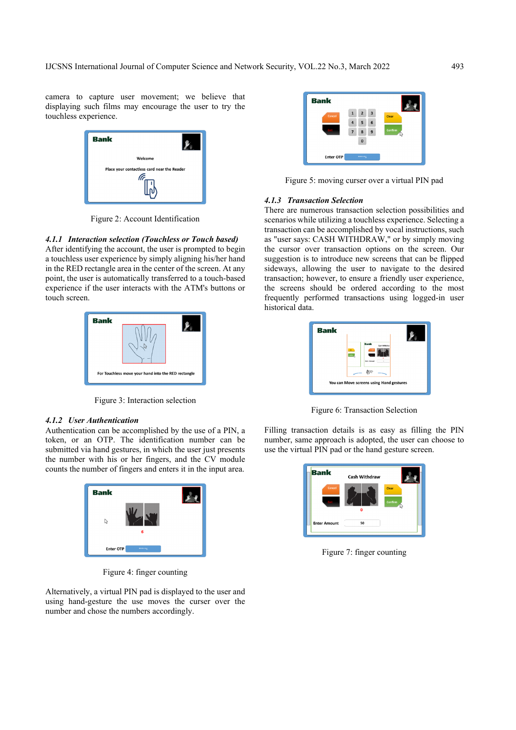camera to capture user movement; we believe that displaying such films may encourage the user to try the touchless experience.



Figure 2: Account Identification

*4.1.1 Interaction selection (Touchless or Touch based)*  After identifying the account, the user is prompted to begin a touchless user experience by simply aligning his/her hand in the RED rectangle area in the center of the screen. At any point, the user is automatically transferred to a touch-based experience if the user interacts with the ATM's buttons or touch screen.



Figure 3: Interaction selection

### *4.1.2 User Authentication*

Authentication can be accomplished by the use of a PIN, a token, or an OTP. The identification number can be submitted via hand gestures, in which the user just presents the number with his or her fingers, and the CV module counts the number of fingers and enters it in the input area.



Figure 4: finger counting

Alternatively, a virtual PIN pad is displayed to the user and using hand-gesture the use moves the curser over the number and chose the numbers accordingly.



Figure 5: moving curser over a virtual PIN pad

# *4.1.3 Transaction Selection*

There are numerous transaction selection possibilities and scenarios while utilizing a touchless experience. Selecting a transaction can be accomplished by vocal instructions, such as "user says: CASH WITHDRAW," or by simply moving the cursor over transaction options on the screen. Our suggestion is to introduce new screens that can be flipped sideways, allowing the user to navigate to the desired transaction; however, to ensure a friendly user experience, the screens should be ordered according to the most frequently performed transactions using logged-in user historical data.



Figure 6: Transaction Selection

Filling transaction details is as easy as filling the PIN number, same approach is adopted, the user can choose to use the virtual PIN pad or the hand gesture screen.



Figure 7: finger counting